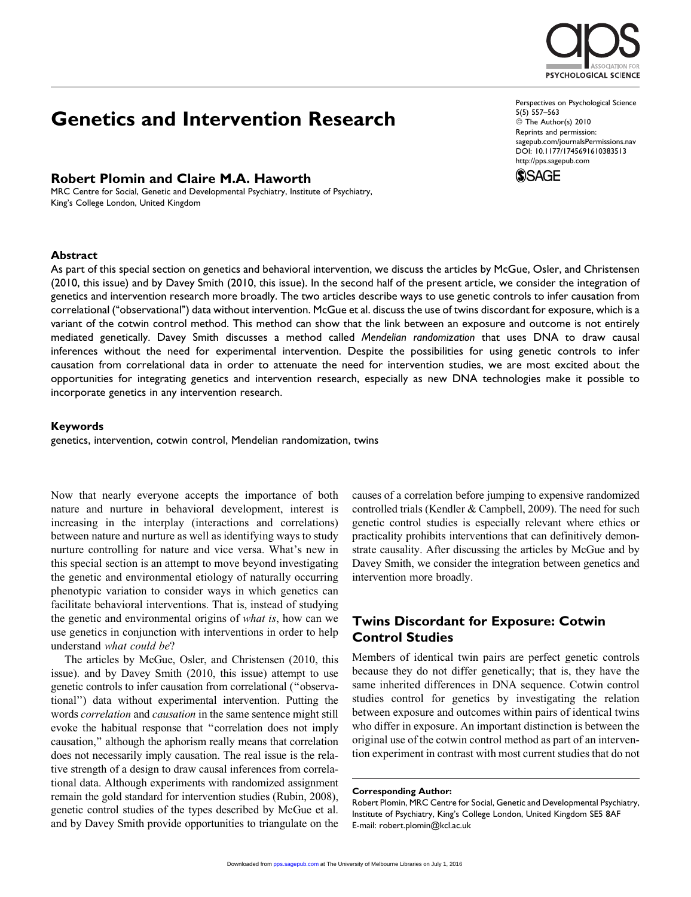

# Genetics and Intervention Research

# Robert Plomin and Claire M.A. Haworth

MRC Centre for Social, Genetic and Developmental Psychiatry, Institute of Psychiatry, King's College London, United Kingdom

Perspectives on Psychological Science 5(5) 557–563  $©$  The Author(s) 2010 Reprints and permission: sagepub.com/journalsPermissions.nav DOI: 10.1177/1745691610383513 http://pps.sagepub.com



### **Abstract**

As part of this special section on genetics and behavioral intervention, we discuss the articles by McGue, Osler, and Christensen (2010, this issue) and by Davey Smith (2010, this issue). In the second half of the present article, we consider the integration of genetics and intervention research more broadly. The two articles describe ways to use genetic controls to infer causation from correlational (''observational'') data without intervention. McGue et al. discuss the use of twins discordant for exposure, which is a variant of the cotwin control method. This method can show that the link between an exposure and outcome is not entirely mediated genetically. Davey Smith discusses a method called Mendelian randomization that uses DNA to draw causal inferences without the need for experimental intervention. Despite the possibilities for using genetic controls to infer causation from correlational data in order to attenuate the need for intervention studies, we are most excited about the opportunities for integrating genetics and intervention research, especially as new DNA technologies make it possible to incorporate genetics in any intervention research.

### Keywords

genetics, intervention, cotwin control, Mendelian randomization, twins

Now that nearly everyone accepts the importance of both nature and nurture in behavioral development, interest is increasing in the interplay (interactions and correlations) between nature and nurture as well as identifying ways to study nurture controlling for nature and vice versa. What's new in this special section is an attempt to move beyond investigating the genetic and environmental etiology of naturally occurring phenotypic variation to consider ways in which genetics can facilitate behavioral interventions. That is, instead of studying the genetic and environmental origins of what is, how can we use genetics in conjunction with interventions in order to help understand what could be?

The articles by McGue, Osler, and Christensen (2010, this issue). and by Davey Smith (2010, this issue) attempt to use genetic controls to infer causation from correlational (''observational'') data without experimental intervention. Putting the words correlation and causation in the same sentence might still evoke the habitual response that ''correlation does not imply causation,'' although the aphorism really means that correlation does not necessarily imply causation. The real issue is the relative strength of a design to draw causal inferences from correlational data. Although experiments with randomized assignment remain the gold standard for intervention studies (Rubin, 2008), genetic control studies of the types described by McGue et al. and by Davey Smith provide opportunities to triangulate on the

causes of a correlation before jumping to expensive randomized controlled trials (Kendler & Campbell, 2009). The need for such genetic control studies is especially relevant where ethics or practicality prohibits interventions that can definitively demonstrate causality. After discussing the articles by McGue and by Davey Smith, we consider the integration between genetics and intervention more broadly.

# Twins Discordant for Exposure: Cotwin Control Studies

Members of identical twin pairs are perfect genetic controls because they do not differ genetically; that is, they have the same inherited differences in DNA sequence. Cotwin control studies control for genetics by investigating the relation between exposure and outcomes within pairs of identical twins who differ in exposure. An important distinction is between the original use of the cotwin control method as part of an intervention experiment in contrast with most current studies that do not

#### Corresponding Author:

Robert Plomin, MRC Centre for Social, Genetic and Developmental Psychiatry, Institute of Psychiatry, King's College London, United Kingdom SE5 8AF E-mail: robert.plomin@kcl.ac.uk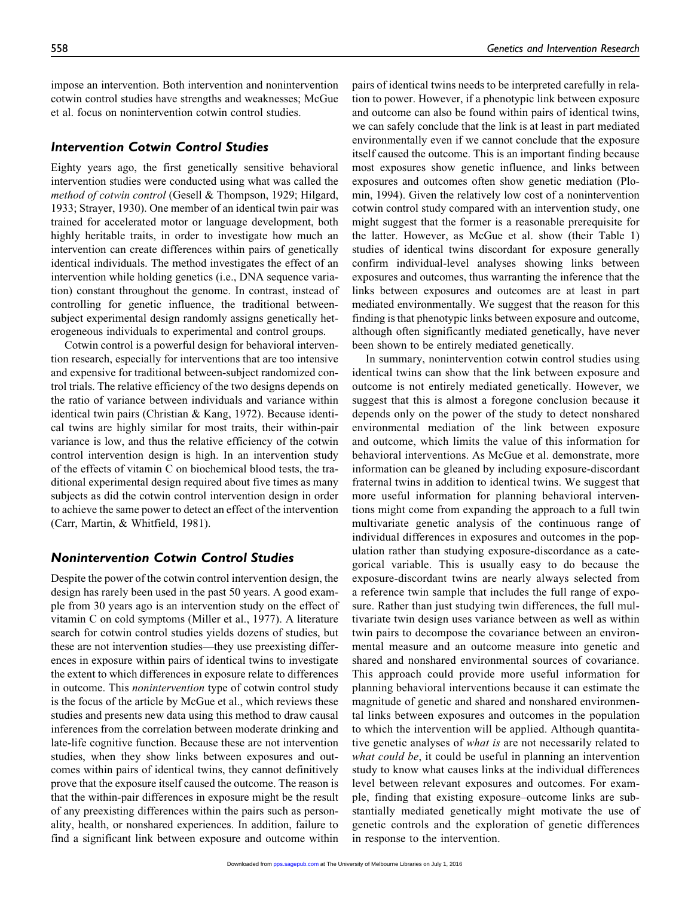impose an intervention. Both intervention and nonintervention cotwin control studies have strengths and weaknesses; McGue et al. focus on nonintervention cotwin control studies.

### Intervention Cotwin Control Studies

Eighty years ago, the first genetically sensitive behavioral intervention studies were conducted using what was called the method of cotwin control (Gesell & Thompson, 1929; Hilgard, 1933; Strayer, 1930). One member of an identical twin pair was trained for accelerated motor or language development, both highly heritable traits, in order to investigate how much an intervention can create differences within pairs of genetically identical individuals. The method investigates the effect of an intervention while holding genetics (i.e., DNA sequence variation) constant throughout the genome. In contrast, instead of controlling for genetic influence, the traditional betweensubject experimental design randomly assigns genetically heterogeneous individuals to experimental and control groups.

Cotwin control is a powerful design for behavioral intervention research, especially for interventions that are too intensive and expensive for traditional between-subject randomized control trials. The relative efficiency of the two designs depends on the ratio of variance between individuals and variance within identical twin pairs (Christian & Kang, 1972). Because identical twins are highly similar for most traits, their within-pair variance is low, and thus the relative efficiency of the cotwin control intervention design is high. In an intervention study of the effects of vitamin C on biochemical blood tests, the traditional experimental design required about five times as many subjects as did the cotwin control intervention design in order to achieve the same power to detect an effect of the intervention (Carr, Martin, & Whitfield, 1981).

# Nonintervention Cotwin Control Studies

Despite the power of the cotwin control intervention design, the design has rarely been used in the past 50 years. A good example from 30 years ago is an intervention study on the effect of vitamin C on cold symptoms (Miller et al., 1977). A literature search for cotwin control studies yields dozens of studies, but these are not intervention studies—they use preexisting differences in exposure within pairs of identical twins to investigate the extent to which differences in exposure relate to differences in outcome. This nonintervention type of cotwin control study is the focus of the article by McGue et al., which reviews these studies and presents new data using this method to draw causal inferences from the correlation between moderate drinking and late-life cognitive function. Because these are not intervention studies, when they show links between exposures and outcomes within pairs of identical twins, they cannot definitively prove that the exposure itself caused the outcome. The reason is that the within-pair differences in exposure might be the result of any preexisting differences within the pairs such as personality, health, or nonshared experiences. In addition, failure to find a significant link between exposure and outcome within

pairs of identical twins needs to be interpreted carefully in relation to power. However, if a phenotypic link between exposure and outcome can also be found within pairs of identical twins, we can safely conclude that the link is at least in part mediated environmentally even if we cannot conclude that the exposure itself caused the outcome. This is an important finding because most exposures show genetic influence, and links between exposures and outcomes often show genetic mediation (Plomin, 1994). Given the relatively low cost of a nonintervention cotwin control study compared with an intervention study, one might suggest that the former is a reasonable prerequisite for the latter. However, as McGue et al. show (their Table 1) studies of identical twins discordant for exposure generally confirm individual-level analyses showing links between exposures and outcomes, thus warranting the inference that the links between exposures and outcomes are at least in part mediated environmentally. We suggest that the reason for this finding is that phenotypic links between exposure and outcome, although often significantly mediated genetically, have never been shown to be entirely mediated genetically.

In summary, nonintervention cotwin control studies using identical twins can show that the link between exposure and outcome is not entirely mediated genetically. However, we suggest that this is almost a foregone conclusion because it depends only on the power of the study to detect nonshared environmental mediation of the link between exposure and outcome, which limits the value of this information for behavioral interventions. As McGue et al. demonstrate, more information can be gleaned by including exposure-discordant fraternal twins in addition to identical twins. We suggest that more useful information for planning behavioral interventions might come from expanding the approach to a full twin multivariate genetic analysis of the continuous range of individual differences in exposures and outcomes in the population rather than studying exposure-discordance as a categorical variable. This is usually easy to do because the exposure-discordant twins are nearly always selected from a reference twin sample that includes the full range of exposure. Rather than just studying twin differences, the full multivariate twin design uses variance between as well as within twin pairs to decompose the covariance between an environmental measure and an outcome measure into genetic and shared and nonshared environmental sources of covariance. This approach could provide more useful information for planning behavioral interventions because it can estimate the magnitude of genetic and shared and nonshared environmental links between exposures and outcomes in the population to which the intervention will be applied. Although quantitative genetic analyses of *what is* are not necessarily related to what could be, it could be useful in planning an intervention study to know what causes links at the individual differences level between relevant exposures and outcomes. For example, finding that existing exposure–outcome links are substantially mediated genetically might motivate the use of genetic controls and the exploration of genetic differences in response to the intervention.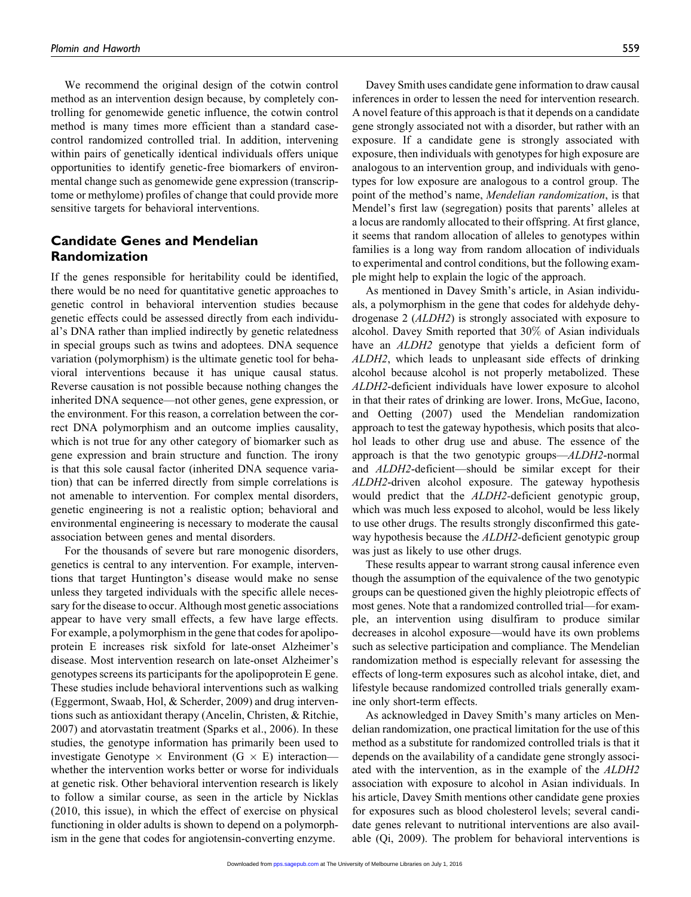We recommend the original design of the cotwin control method as an intervention design because, by completely controlling for genomewide genetic influence, the cotwin control method is many times more efficient than a standard casecontrol randomized controlled trial. In addition, intervening within pairs of genetically identical individuals offers unique opportunities to identify genetic-free biomarkers of environmental change such as genomewide gene expression (transcriptome or methylome) profiles of change that could provide more sensitive targets for behavioral interventions.

# Candidate Genes and Mendelian Randomization

If the genes responsible for heritability could be identified, there would be no need for quantitative genetic approaches to genetic control in behavioral intervention studies because genetic effects could be assessed directly from each individual's DNA rather than implied indirectly by genetic relatedness in special groups such as twins and adoptees. DNA sequence variation (polymorphism) is the ultimate genetic tool for behavioral interventions because it has unique causal status. Reverse causation is not possible because nothing changes the inherited DNA sequence—not other genes, gene expression, or the environment. For this reason, a correlation between the correct DNA polymorphism and an outcome implies causality, which is not true for any other category of biomarker such as gene expression and brain structure and function. The irony is that this sole causal factor (inherited DNA sequence variation) that can be inferred directly from simple correlations is not amenable to intervention. For complex mental disorders, genetic engineering is not a realistic option; behavioral and environmental engineering is necessary to moderate the causal association between genes and mental disorders.

For the thousands of severe but rare monogenic disorders, genetics is central to any intervention. For example, interventions that target Huntington's disease would make no sense unless they targeted individuals with the specific allele necessary for the disease to occur. Although most genetic associations appear to have very small effects, a few have large effects. For example, a polymorphism in the gene that codes for apolipoprotein E increases risk sixfold for late-onset Alzheimer's disease. Most intervention research on late-onset Alzheimer's genotypes screens its participants for the apolipoprotein E gene. These studies include behavioral interventions such as walking (Eggermont, Swaab, Hol, & Scherder, 2009) and drug interventions such as antioxidant therapy (Ancelin, Christen, & Ritchie, 2007) and atorvastatin treatment (Sparks et al., 2006). In these studies, the genotype information has primarily been used to investigate Genotype  $\times$  Environment (G  $\times$  E) interaction whether the intervention works better or worse for individuals at genetic risk. Other behavioral intervention research is likely to follow a similar course, as seen in the article by Nicklas (2010, this issue), in which the effect of exercise on physical functioning in older adults is shown to depend on a polymorphism in the gene that codes for angiotensin-converting enzyme.

Davey Smith uses candidate gene information to draw causal inferences in order to lessen the need for intervention research. A novel feature of this approach is that it depends on a candidate gene strongly associated not with a disorder, but rather with an exposure. If a candidate gene is strongly associated with exposure, then individuals with genotypes for high exposure are analogous to an intervention group, and individuals with genotypes for low exposure are analogous to a control group. The point of the method's name, Mendelian randomization, is that Mendel's first law (segregation) posits that parents' alleles at a locus are randomly allocated to their offspring. At first glance, it seems that random allocation of alleles to genotypes within families is a long way from random allocation of individuals to experimental and control conditions, but the following example might help to explain the logic of the approach.

As mentioned in Davey Smith's article, in Asian individuals, a polymorphism in the gene that codes for aldehyde dehydrogenase 2 (ALDH2) is strongly associated with exposure to alcohol. Davey Smith reported that 30% of Asian individuals have an *ALDH2* genotype that yields a deficient form of ALDH2, which leads to unpleasant side effects of drinking alcohol because alcohol is not properly metabolized. These ALDH2-deficient individuals have lower exposure to alcohol in that their rates of drinking are lower. Irons, McGue, Iacono, and Oetting (2007) used the Mendelian randomization approach to test the gateway hypothesis, which posits that alcohol leads to other drug use and abuse. The essence of the approach is that the two genotypic groups—ALDH2-normal and ALDH2-deficient—should be similar except for their ALDH2-driven alcohol exposure. The gateway hypothesis would predict that the *ALDH2*-deficient genotypic group, which was much less exposed to alcohol, would be less likely to use other drugs. The results strongly disconfirmed this gateway hypothesis because the *ALDH2*-deficient genotypic group was just as likely to use other drugs.

These results appear to warrant strong causal inference even though the assumption of the equivalence of the two genotypic groups can be questioned given the highly pleiotropic effects of most genes. Note that a randomized controlled trial—for example, an intervention using disulfiram to produce similar decreases in alcohol exposure—would have its own problems such as selective participation and compliance. The Mendelian randomization method is especially relevant for assessing the effects of long-term exposures such as alcohol intake, diet, and lifestyle because randomized controlled trials generally examine only short-term effects.

As acknowledged in Davey Smith's many articles on Mendelian randomization, one practical limitation for the use of this method as a substitute for randomized controlled trials is that it depends on the availability of a candidate gene strongly associated with the intervention, as in the example of the *ALDH2* association with exposure to alcohol in Asian individuals. In his article, Davey Smith mentions other candidate gene proxies for exposures such as blood cholesterol levels; several candidate genes relevant to nutritional interventions are also available (Qi, 2009). The problem for behavioral interventions is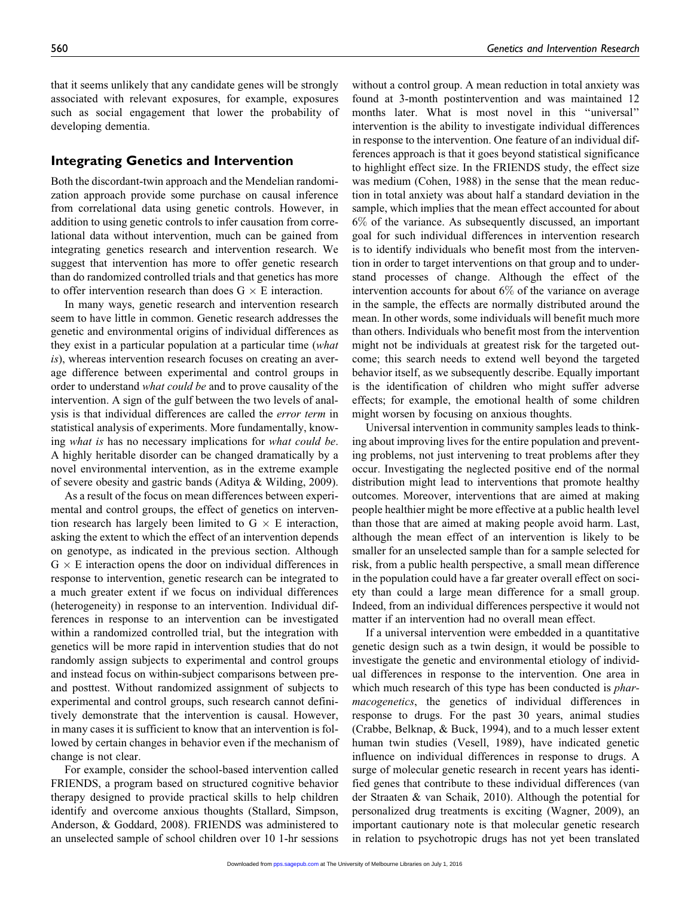that it seems unlikely that any candidate genes will be strongly associated with relevant exposures, for example, exposures such as social engagement that lower the probability of developing dementia.

### Integrating Genetics and Intervention

Both the discordant-twin approach and the Mendelian randomization approach provide some purchase on causal inference from correlational data using genetic controls. However, in addition to using genetic controls to infer causation from correlational data without intervention, much can be gained from integrating genetics research and intervention research. We suggest that intervention has more to offer genetic research than do randomized controlled trials and that genetics has more to offer intervention research than does  $G \times E$  interaction.

In many ways, genetic research and intervention research seem to have little in common. Genetic research addresses the genetic and environmental origins of individual differences as they exist in a particular population at a particular time (what is), whereas intervention research focuses on creating an average difference between experimental and control groups in order to understand *what could be* and to prove causality of the intervention. A sign of the gulf between the two levels of analysis is that individual differences are called the error term in statistical analysis of experiments. More fundamentally, knowing what is has no necessary implications for what could be. A highly heritable disorder can be changed dramatically by a novel environmental intervention, as in the extreme example of severe obesity and gastric bands (Aditya & Wilding, 2009).

As a result of the focus on mean differences between experimental and control groups, the effect of genetics on intervention research has largely been limited to  $G \times E$  interaction, asking the extent to which the effect of an intervention depends on genotype, as indicated in the previous section. Although  $G \times E$  interaction opens the door on individual differences in response to intervention, genetic research can be integrated to a much greater extent if we focus on individual differences (heterogeneity) in response to an intervention. Individual differences in response to an intervention can be investigated within a randomized controlled trial, but the integration with genetics will be more rapid in intervention studies that do not randomly assign subjects to experimental and control groups and instead focus on within-subject comparisons between preand posttest. Without randomized assignment of subjects to experimental and control groups, such research cannot definitively demonstrate that the intervention is causal. However, in many cases it is sufficient to know that an intervention is followed by certain changes in behavior even if the mechanism of change is not clear.

For example, consider the school-based intervention called FRIENDS, a program based on structured cognitive behavior therapy designed to provide practical skills to help children identify and overcome anxious thoughts (Stallard, Simpson, Anderson, & Goddard, 2008). FRIENDS was administered to an unselected sample of school children over 10 1-hr sessions without a control group. A mean reduction in total anxiety was found at 3-month postintervention and was maintained 12 months later. What is most novel in this ''universal'' intervention is the ability to investigate individual differences in response to the intervention. One feature of an individual differences approach is that it goes beyond statistical significance to highlight effect size. In the FRIENDS study, the effect size was medium (Cohen, 1988) in the sense that the mean reduction in total anxiety was about half a standard deviation in the sample, which implies that the mean effect accounted for about 6% of the variance. As subsequently discussed, an important goal for such individual differences in intervention research is to identify individuals who benefit most from the intervention in order to target interventions on that group and to understand processes of change. Although the effect of the intervention accounts for about 6% of the variance on average in the sample, the effects are normally distributed around the mean. In other words, some individuals will benefit much more than others. Individuals who benefit most from the intervention might not be individuals at greatest risk for the targeted outcome; this search needs to extend well beyond the targeted behavior itself, as we subsequently describe. Equally important is the identification of children who might suffer adverse effects; for example, the emotional health of some children might worsen by focusing on anxious thoughts.

Universal intervention in community samples leads to thinking about improving lives for the entire population and preventing problems, not just intervening to treat problems after they occur. Investigating the neglected positive end of the normal distribution might lead to interventions that promote healthy outcomes. Moreover, interventions that are aimed at making people healthier might be more effective at a public health level than those that are aimed at making people avoid harm. Last, although the mean effect of an intervention is likely to be smaller for an unselected sample than for a sample selected for risk, from a public health perspective, a small mean difference in the population could have a far greater overall effect on society than could a large mean difference for a small group. Indeed, from an individual differences perspective it would not matter if an intervention had no overall mean effect.

If a universal intervention were embedded in a quantitative genetic design such as a twin design, it would be possible to investigate the genetic and environmental etiology of individual differences in response to the intervention. One area in which much research of this type has been conducted is *phar*macogenetics, the genetics of individual differences in response to drugs. For the past 30 years, animal studies (Crabbe, Belknap, & Buck, 1994), and to a much lesser extent human twin studies (Vesell, 1989), have indicated genetic influence on individual differences in response to drugs. A surge of molecular genetic research in recent years has identified genes that contribute to these individual differences (van der Straaten & van Schaik, 2010). Although the potential for personalized drug treatments is exciting (Wagner, 2009), an important cautionary note is that molecular genetic research in relation to psychotropic drugs has not yet been translated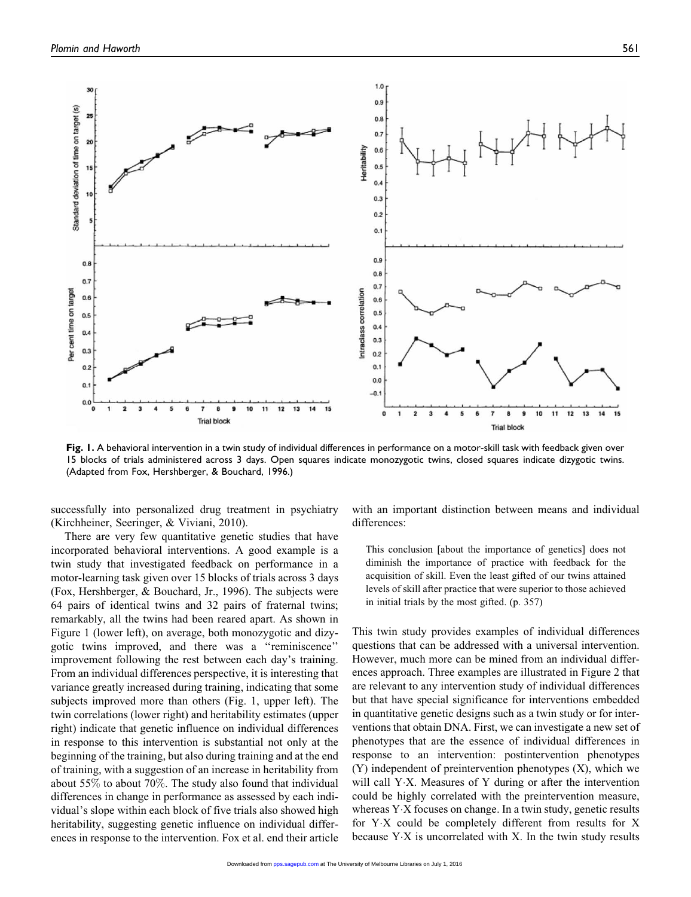

Fig. 1. A behavioral intervention in a twin study of individual differences in performance on a motor-skill task with feedback given over 15 blocks of trials administered across 3 days. Open squares indicate monozygotic twins, closed squares indicate dizygotic twins. (Adapted from Fox, Hershberger, & Bouchard, 1996.)

successfully into personalized drug treatment in psychiatry (Kirchheiner, Seeringer, & Viviani, 2010).

There are very few quantitative genetic studies that have incorporated behavioral interventions. A good example is a twin study that investigated feedback on performance in a motor-learning task given over 15 blocks of trials across 3 days (Fox, Hershberger, & Bouchard, Jr., 1996). The subjects were 64 pairs of identical twins and 32 pairs of fraternal twins; remarkably, all the twins had been reared apart. As shown in Figure 1 (lower left), on average, both monozygotic and dizygotic twins improved, and there was a ''reminiscence'' improvement following the rest between each day's training. From an individual differences perspective, it is interesting that variance greatly increased during training, indicating that some subjects improved more than others (Fig. 1, upper left). The twin correlations (lower right) and heritability estimates (upper right) indicate that genetic influence on individual differences in response to this intervention is substantial not only at the beginning of the training, but also during training and at the end of training, with a suggestion of an increase in heritability from about 55% to about 70%. The study also found that individual differences in change in performance as assessed by each individual's slope within each block of five trials also showed high heritability, suggesting genetic influence on individual differences in response to the intervention. Fox et al. end their article

with an important distinction between means and individual differences:

This conclusion [about the importance of genetics] does not diminish the importance of practice with feedback for the acquisition of skill. Even the least gifted of our twins attained levels of skill after practice that were superior to those achieved in initial trials by the most gifted. (p. 357)

This twin study provides examples of individual differences questions that can be addressed with a universal intervention. However, much more can be mined from an individual differences approach. Three examples are illustrated in Figure 2 that are relevant to any intervention study of individual differences but that have special significance for interventions embedded in quantitative genetic designs such as a twin study or for interventions that obtain DNA. First, we can investigate a new set of phenotypes that are the essence of individual differences in response to an intervention: postintervention phenotypes (Y) independent of preintervention phenotypes (X), which we will call  $Y \cdot X$ . Measures of Y during or after the intervention could be highly correlated with the preintervention measure, whereas Y X focuses on change. In a twin study, genetic results for YX could be completely different from results for X because  $Y \times X$  is uncorrelated with X. In the twin study results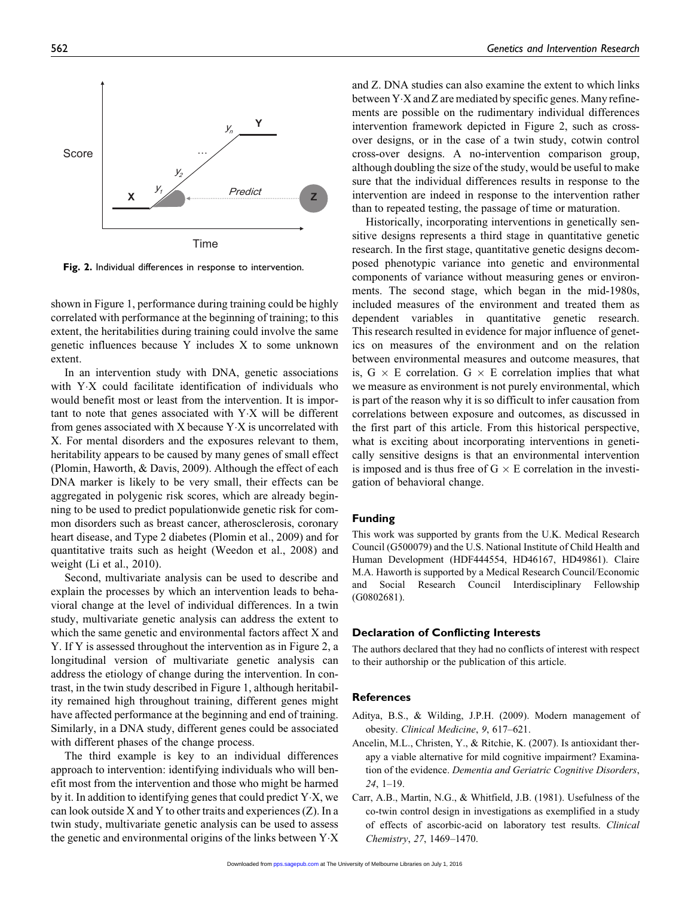

Fig. 2. Individual differences in response to intervention.

shown in Figure 1, performance during training could be highly correlated with performance at the beginning of training; to this extent, the heritabilities during training could involve the same genetic influences because Y includes X to some unknown extent.

In an intervention study with DNA, genetic associations with Y<sub>'</sub>X could facilitate identification of individuals who would benefit most or least from the intervention. It is important to note that genes associated with  $Y \cdot X$  will be different from genes associated with  $X$  because  $Y \cdot X$  is uncorrelated with X. For mental disorders and the exposures relevant to them, heritability appears to be caused by many genes of small effect (Plomin, Haworth, & Davis, 2009). Although the effect of each DNA marker is likely to be very small, their effects can be aggregated in polygenic risk scores, which are already beginning to be used to predict populationwide genetic risk for common disorders such as breast cancer, atherosclerosis, coronary heart disease, and Type 2 diabetes (Plomin et al., 2009) and for quantitative traits such as height (Weedon et al., 2008) and weight (Li et al., 2010).

Second, multivariate analysis can be used to describe and explain the processes by which an intervention leads to behavioral change at the level of individual differences. In a twin study, multivariate genetic analysis can address the extent to which the same genetic and environmental factors affect X and Y. If Y is assessed throughout the intervention as in Figure 2, a longitudinal version of multivariate genetic analysis can address the etiology of change during the intervention. In contrast, in the twin study described in Figure 1, although heritability remained high throughout training, different genes might have affected performance at the beginning and end of training. Similarly, in a DNA study, different genes could be associated with different phases of the change process.

The third example is key to an individual differences approach to intervention: identifying individuals who will benefit most from the intervention and those who might be harmed by it. In addition to identifying genes that could predict  $Y \cdot X$ , we can look outside X and Y to other traits and experiences (Z). In a twin study, multivariate genetic analysis can be used to assess the genetic and environmental origins of the links between  $Y \cdot X$  and Z. DNA studies can also examine the extent to which links between Y $\cdot$ X and Z are mediated by specific genes. Many refinements are possible on the rudimentary individual differences intervention framework depicted in Figure 2, such as crossover designs, or in the case of a twin study, cotwin control cross-over designs. A no-intervention comparison group, although doubling the size of the study, would be useful to make sure that the individual differences results in response to the intervention are indeed in response to the intervention rather than to repeated testing, the passage of time or maturation.

Historically, incorporating interventions in genetically sensitive designs represents a third stage in quantitative genetic research. In the first stage, quantitative genetic designs decomposed phenotypic variance into genetic and environmental components of variance without measuring genes or environments. The second stage, which began in the mid-1980s, included measures of the environment and treated them as dependent variables in quantitative genetic research. This research resulted in evidence for major influence of genetics on measures of the environment and on the relation between environmental measures and outcome measures, that is,  $G \times E$  correlation.  $G \times E$  correlation implies that what we measure as environment is not purely environmental, which is part of the reason why it is so difficult to infer causation from correlations between exposure and outcomes, as discussed in the first part of this article. From this historical perspective, what is exciting about incorporating interventions in genetically sensitive designs is that an environmental intervention is imposed and is thus free of  $G \times E$  correlation in the investigation of behavioral change.

#### Funding

This work was supported by grants from the U.K. Medical Research Council (G500079) and the U.S. National Institute of Child Health and Human Development (HDF444554, HD46167, HD49861). Claire M.A. Haworth is supported by a Medical Research Council/Economic and Social Research Council Interdisciplinary Fellowship (G0802681).

#### Declaration of Conflicting Interests

The authors declared that they had no conflicts of interest with respect to their authorship or the publication of this article.

### **References**

- Aditya, B.S., & Wilding, J.P.H. (2009). Modern management of obesity. Clinical Medicine, 9, 617–621.
- Ancelin, M.L., Christen, Y., & Ritchie, K. (2007). Is antioxidant therapy a viable alternative for mild cognitive impairment? Examination of the evidence. Dementia and Geriatric Cognitive Disorders, 24, 1–19.
- Carr, A.B., Martin, N.G., & Whitfield, J.B. (1981). Usefulness of the co-twin control design in investigations as exemplified in a study of effects of ascorbic-acid on laboratory test results. Clinical Chemistry, 27, 1469–1470.